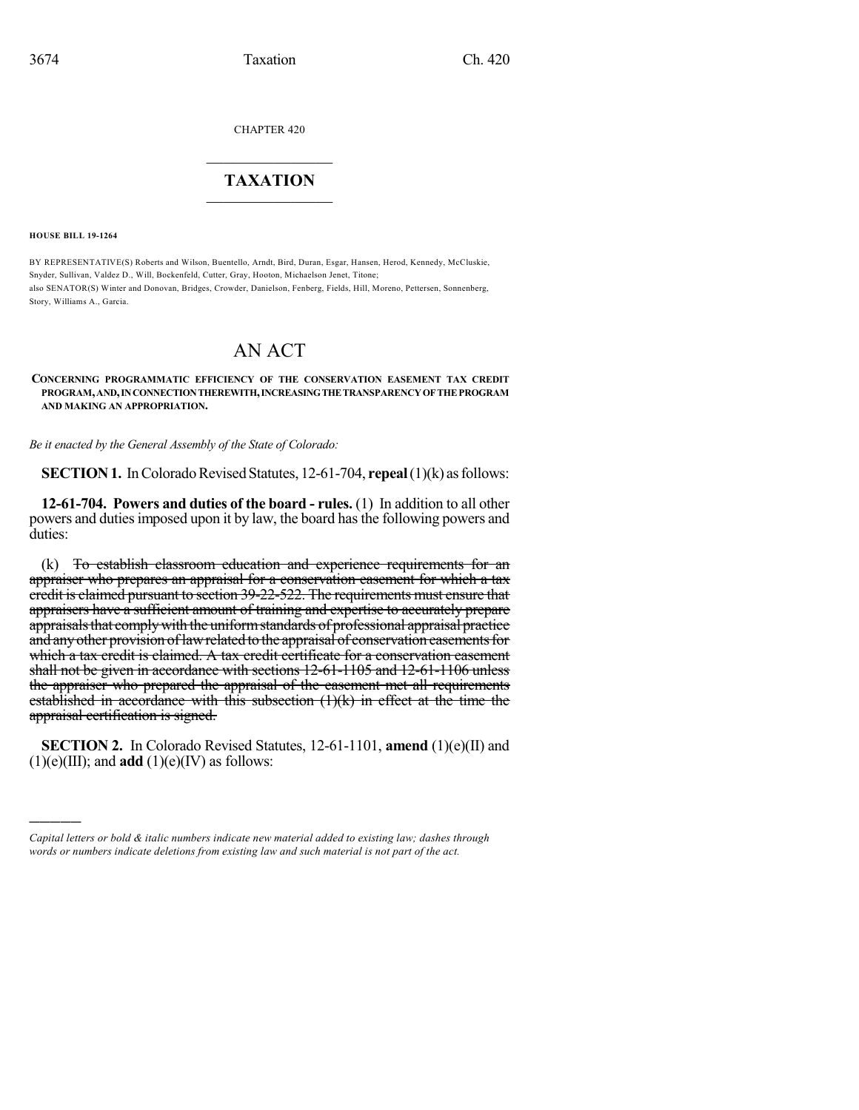CHAPTER 420

## $\overline{\phantom{a}}$  . The set of the set of the set of the set of the set of the set of the set of the set of the set of the set of the set of the set of the set of the set of the set of the set of the set of the set of the set o **TAXATION**  $\_$

**HOUSE BILL 19-1264**

)))))

BY REPRESENTATIVE(S) Roberts and Wilson, Buentello, Arndt, Bird, Duran, Esgar, Hansen, Herod, Kennedy, McCluskie, Snyder, Sullivan, Valdez D., Will, Bockenfeld, Cutter, Gray, Hooton, Michaelson Jenet, Titone; also SENATOR(S) Winter and Donovan, Bridges, Crowder, Danielson, Fenberg, Fields, Hill, Moreno, Pettersen, Sonnenberg, Story, Williams A., Garcia.

# AN ACT

#### **CONCERNING PROGRAMMATIC EFFICIENCY OF THE CONSERVATION EASEMENT TAX CREDIT PROGRAM,AND,INCONNECTIONTHEREWITH,INCREASINGTHETRANSPARENCYOFTHEPROGRAM AND MAKING AN APPROPRIATION.**

*Be it enacted by the General Assembly of the State of Colorado:*

**SECTION 1.** In Colorado Revised Statutes, 12-61-704, **repeal** (1)(k) as follows:

**12-61-704. Powers and duties of the board - rules.** (1) In addition to all other powers and dutiesimposed upon it by law, the board hasthe following powers and duties:

(k) To establish classroom education and experience requirements for an appraiser who prepares an appraisal for a conservation easement for which a tax credit is claimed pursuant to section 39-22-522. The requirements must ensure that appraisers have a sufficient amount of training and expertise to accurately prepare appraisals that comply with the uniform standards of professional appraisal practice and any other provision of law related to the appraisal of conservation easements for which a tax credit is claimed. A tax credit certificate for a conservation easement shall not be given in accordance with sections 12-61-1105 and 12-61-1106 unless the appraiser who prepared the appraisal of the easement met all requirements established in accordance with this subsection (1)(k) in effect at the time the appraisal certification is signed.

**SECTION 2.** In Colorado Revised Statutes, 12-61-1101, **amend** (1)(e)(II) and  $(1)(e)(III)$ ; and **add**  $(1)(e)(IV)$  as follows:

*Capital letters or bold & italic numbers indicate new material added to existing law; dashes through words or numbers indicate deletions from existing law and such material is not part of the act.*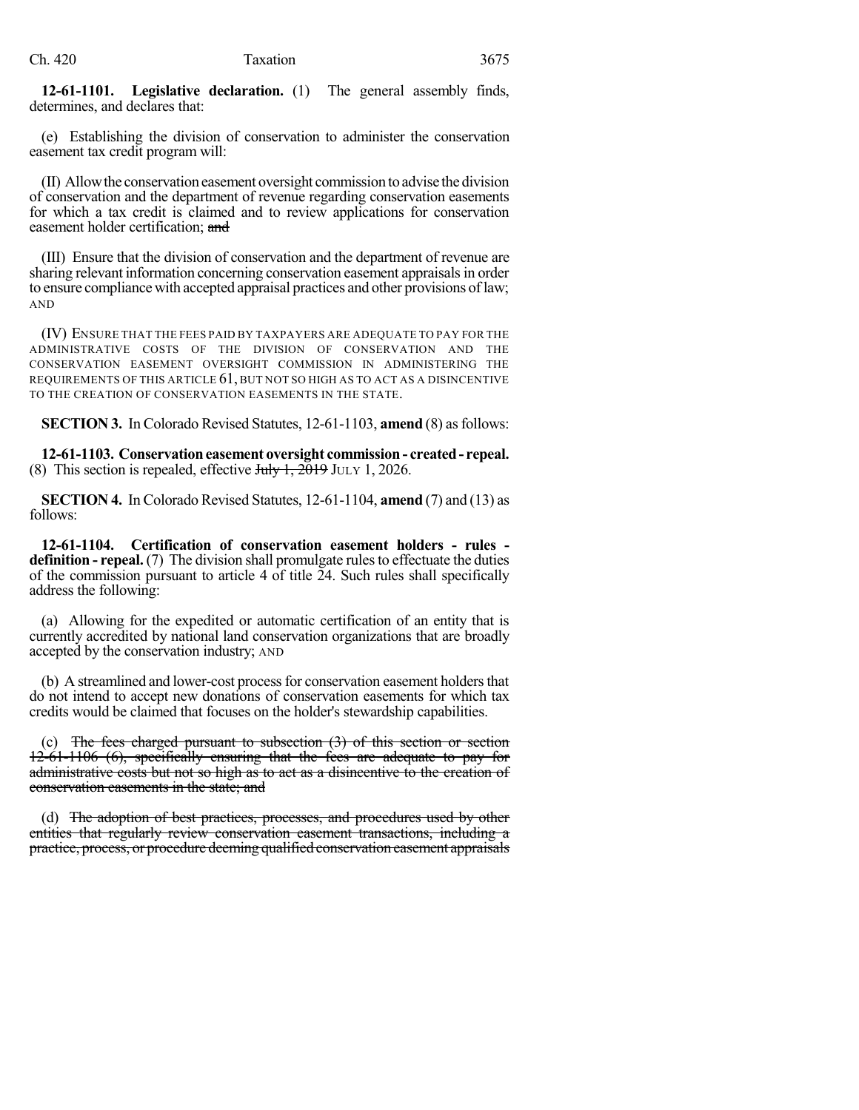**12-61-1101. Legislative declaration.** (1) The general assembly finds, determines, and declares that:

(e) Establishing the division of conservation to administer the conservation easement tax credit program will:

(II) Allowthe conservationeasement oversight commission to advise thedivision of conservation and the department of revenue regarding conservation easements for which a tax credit is claimed and to review applications for conservation easement holder certification; and

(III) Ensure that the division of conservation and the department of revenue are sharing relevant information concerning conservation easement appraisalsin order to ensure compliance with accepted appraisal practices and other provisions oflaw; AND

(IV) ENSURE THAT THE FEES PAID BY TAXPAYERS ARE ADEQUATE TO PAY FOR THE ADMINISTRATIVE COSTS OF THE DIVISION OF CONSERVATION AND THE CONSERVATION EASEMENT OVERSIGHT COMMISSION IN ADMINISTERING THE REQUIREMENTS OF THIS ARTICLE 61, BUT NOT SO HIGH AS TO ACT AS A DISINCENTIVE TO THE CREATION OF CONSERVATION EASEMENTS IN THE STATE.

**SECTION 3.** In Colorado Revised Statutes, 12-61-1103, **amend** (8) as follows:

**12-61-1103. Conservationeasement oversight commission - created- repeal.** (8) This section is repealed, effective  $J_{\text{t}}\rightarrow J_1 + 2019$  JULY 1, 2026.

**SECTION 4.** In Colorado Revised Statutes, 12-61-1104, **amend** (7) and (13) as follows:

**12-61-1104. Certification of conservation easement holders - rules definition - repeal.** (7) The division shall promulgate rules to effectuate the duties of the commission pursuant to article 4 of title  $\tilde{2}4$ . Such rules shall specifically address the following:

(a) Allowing for the expedited or automatic certification of an entity that is currently accredited by national land conservation organizations that are broadly accepted by the conservation industry; AND

(b) A streamlined and lower-cost process for conservation easement holders that do not intend to accept new donations of conservation easements for which tax credits would be claimed that focuses on the holder's stewardship capabilities.

(c) The fees charged pursuant to subsection  $(3)$  of this section or section 12-61-1106 (6), specifically ensuring that the fees are adequate to pay for administrative costs but not so high as to act as a disincentive to the creation of conservation easements in the state; and

(d) The adoption of best practices, processes, and procedures used by other entities that regularly review conservation easement transactions, including a practice, process, or procedure deeming qualified conservation easement appraisals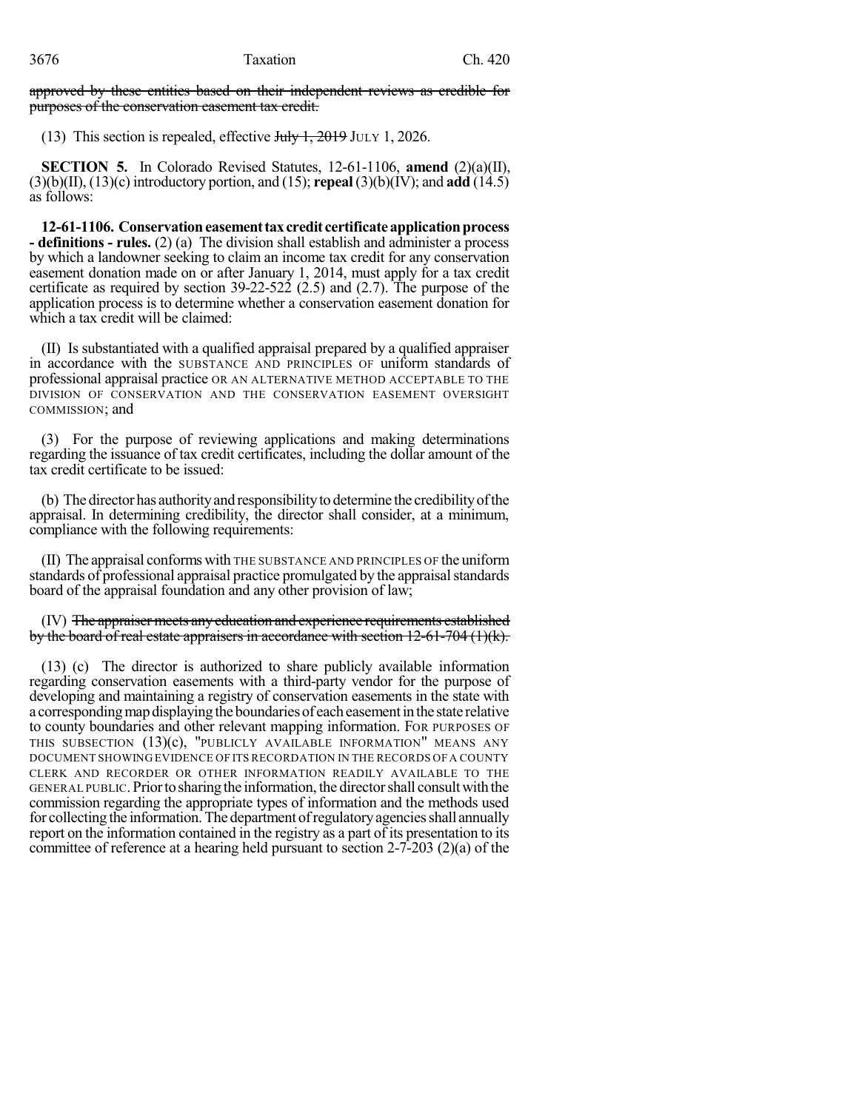approved by these entities based on their independent reviews as credible for purposes of the conservation easement tax credit.

(13) This section is repealed, effective  $J_{\text{t}}/J_{\text{t}}$ , 2019 JULY 1, 2026.

**SECTION 5.** In Colorado Revised Statutes, 12-61-1106, **amend** (2)(a)(II), (3)(b)(II), (13)(c) introductory portion, and (15); **repeal** (3)(b)(IV); and **add** (14.5) as follows:

12-61-1106. Conservation easement tax credit certificate application process **- definitions - rules.** (2) (a) The division shall establish and administer a process by which a landowner seeking to claim an income tax credit for any conservation easement donation made on or after January 1, 2014, must apply for a tax credit certificate as required by section 39-22-522 (2.5) and (2.7). The purpose of the application process is to determine whether a conservation easement donation for which a tax credit will be claimed:

(II) Is substantiated with a qualified appraisal prepared by a qualified appraiser in accordance with the SUBSTANCE AND PRINCIPLES OF uniform standards of professional appraisal practice OR AN ALTERNATIVE METHOD ACCEPTABLE TO THE DIVISION OF CONSERVATION AND THE CONSERVATION EASEMENT OVERSIGHT COMMISSION; and

(3) For the purpose of reviewing applications and making determinations regarding the issuance of tax credit certificates, including the dollar amount of the tax credit certificate to be issued:

(b) The directorhas authorityand responsibilityto determine the credibilityofthe appraisal. In determining credibility, the director shall consider, at a minimum, compliance with the following requirements:

(II) The appraisal conforms with THE SUBSTANCE AND PRINCIPLES OF the uniform standards of professional appraisal practice promulgated by the appraisal standards board of the appraisal foundation and any other provision of law;

(IV) The appraiser meets anyeducation and experience requirements established by the board of real estate appraisers in accordance with section  $12-61-704$  (1)(k).

(13) (c) The director is authorized to share publicly available information regarding conservation easements with a third-party vendor for the purpose of developing and maintaining a registry of conservation easements in the state with a corresponding map displaying the boundaries of each easement in the state relative to county boundaries and other relevant mapping information. FOR PURPOSES OF THIS SUBSECTION (13)(c), "PUBLICLY AVAILABLE INFORMATION" MEANS ANY DOCUMENT SHOWING EVIDENCE OF ITS RECORDATION IN THE RECORDS OF A COUNTY CLERK AND RECORDER OR OTHER INFORMATION READILY AVAILABLE TO THE GENERAL PUBLIC.Priortosharingthe information, the directorshall consultwith the commission regarding the appropriate types of information and the methods used for collecting the information. The department of regulatory agencies shall annually report on the information contained in the registry as a part of its presentation to its committee of reference at a hearing held pursuant to section 2-7-203 (2)(a) of the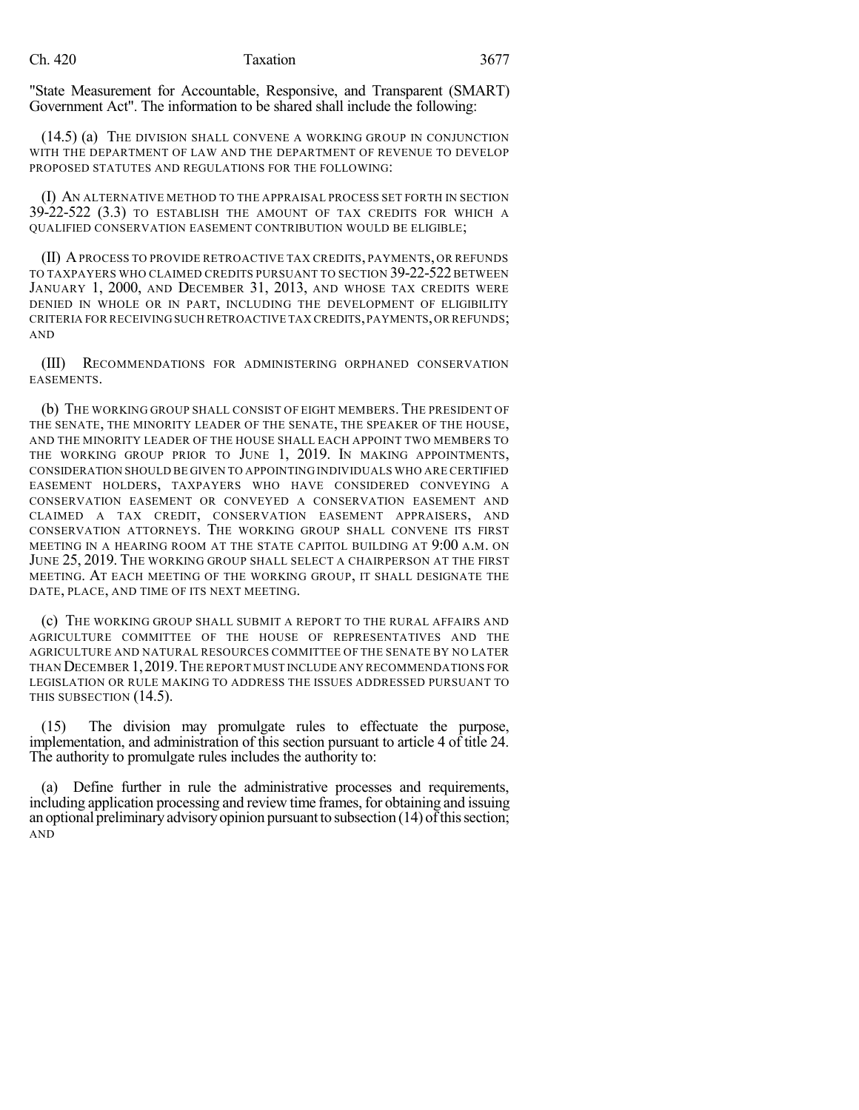### Ch. 420 **Taxation** 3677

"State Measurement for Accountable, Responsive, and Transparent (SMART) Government Act". The information to be shared shall include the following:

(14.5) (a) THE DIVISION SHALL CONVENE A WORKING GROUP IN CONJUNCTION WITH THE DEPARTMENT OF LAW AND THE DEPARTMENT OF REVENUE TO DEVELOP PROPOSED STATUTES AND REGULATIONS FOR THE FOLLOWING:

(I) AN ALTERNATIVE METHOD TO THE APPRAISAL PROCESS SET FORTH IN SECTION 39-22-522 (3.3) TO ESTABLISH THE AMOUNT OF TAX CREDITS FOR WHICH A QUALIFIED CONSERVATION EASEMENT CONTRIBUTION WOULD BE ELIGIBLE;

(II) APROCESS TO PROVIDE RETROACTIVE TAX CREDITS, PAYMENTS, OR REFUNDS TO TAXPAYERS WHO CLAIMED CREDITS PURSUANT TO SECTION 39-22-522 BETWEEN JANUARY 1, 2000, AND DECEMBER 31, 2013, AND WHOSE TAX CREDITS WERE DENIED IN WHOLE OR IN PART, INCLUDING THE DEVELOPMENT OF ELIGIBILITY CRITERIA FOR RECEIVING SUCH RETROACTIVE TAX CREDITS,PAYMENTS,OR REFUNDS; AND

(III) RECOMMENDATIONS FOR ADMINISTERING ORPHANED CONSERVATION EASEMENTS.

(b) THE WORKING GROUP SHALL CONSIST OF EIGHT MEMBERS.THE PRESIDENT OF THE SENATE, THE MINORITY LEADER OF THE SENATE, THE SPEAKER OF THE HOUSE, AND THE MINORITY LEADER OF THE HOUSE SHALL EACH APPOINT TWO MEMBERS TO THE WORKING GROUP PRIOR TO JUNE 1, 2019. IN MAKING APPOINTMENTS, CONSIDERATION SHOULD BE GIVEN TO APPOINTING INDIVIDUALS WHO ARE CERTIFIED EASEMENT HOLDERS, TAXPAYERS WHO HAVE CONSIDERED CONVEYING A CONSERVATION EASEMENT OR CONVEYED A CONSERVATION EASEMENT AND CLAIMED A TAX CREDIT, CONSERVATION EASEMENT APPRAISERS, AND CONSERVATION ATTORNEYS. THE WORKING GROUP SHALL CONVENE ITS FIRST MEETING IN A HEARING ROOM AT THE STATE CAPITOL BUILDING AT 9:00 A.M. ON JUNE 25, 2019. THE WORKING GROUP SHALL SELECT A CHAIRPERSON AT THE FIRST MEETING. AT EACH MEETING OF THE WORKING GROUP, IT SHALL DESIGNATE THE DATE, PLACE, AND TIME OF ITS NEXT MEETING.

(c) THE WORKING GROUP SHALL SUBMIT A REPORT TO THE RURAL AFFAIRS AND AGRICULTURE COMMITTEE OF THE HOUSE OF REPRESENTATIVES AND THE AGRICULTURE AND NATURAL RESOURCES COMMITTEE OF THE SENATE BY NO LATER THAN DECEMBER 1,2019.THE REPORT MUST INCLUDE ANY RECOMMENDATIONS FOR LEGISLATION OR RULE MAKING TO ADDRESS THE ISSUES ADDRESSED PURSUANT TO THIS SUBSECTION (14.5).

(15) The division may promulgate rules to effectuate the purpose, implementation, and administration of this section pursuant to article 4 of title 24. The authority to promulgate rules includes the authority to:

(a) Define further in rule the administrative processes and requirements, including application processing and review time frames, for obtaining and issuing an optional preliminary advisory opinion pursuant to subsection  $(14)$  of this section; AND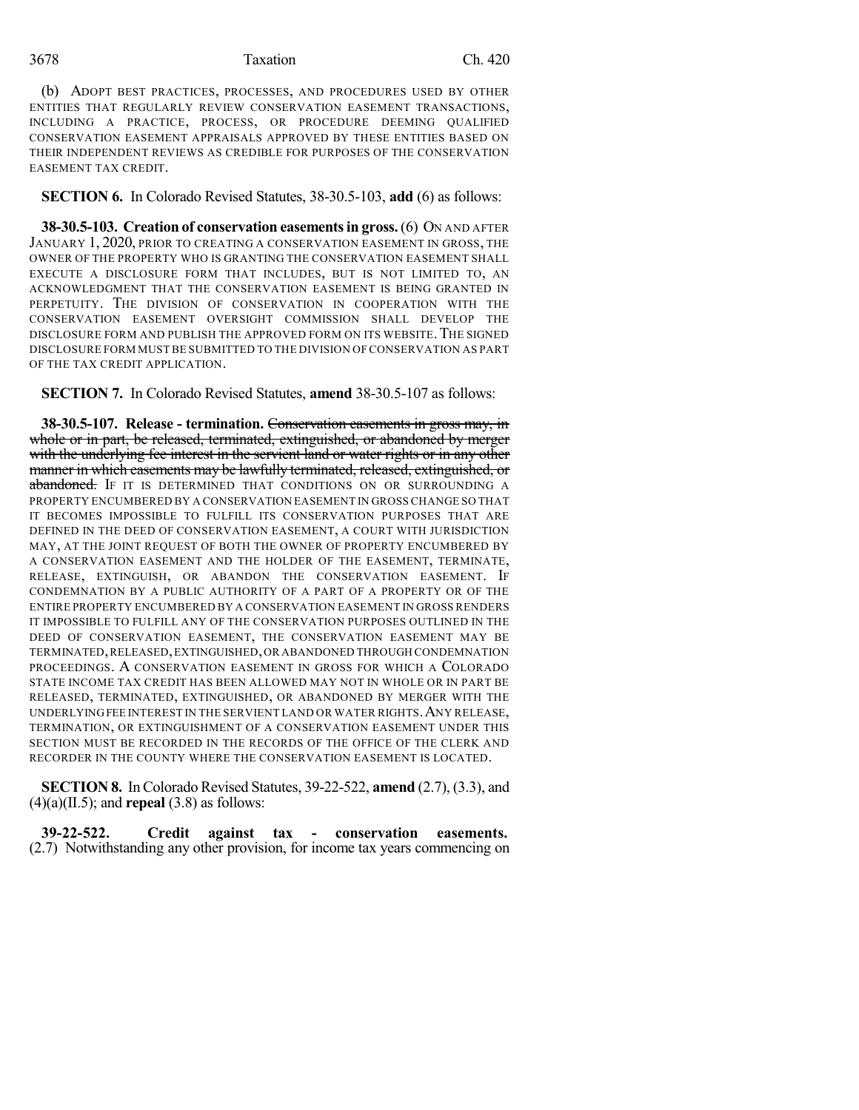(b) ADOPT BEST PRACTICES, PROCESSES, AND PROCEDURES USED BY OTHER ENTITIES THAT REGULARLY REVIEW CONSERVATION EASEMENT TRANSACTIONS, INCLUDING A PRACTICE, PROCESS, OR PROCEDURE DEEMING QUALIFIED CONSERVATION EASEMENT APPRAISALS APPROVED BY THESE ENTITIES BASED ON THEIR INDEPENDENT REVIEWS AS CREDIBLE FOR PURPOSES OF THE CONSERVATION EASEMENT TAX CREDIT.

**SECTION 6.** In Colorado Revised Statutes, 38-30.5-103, **add** (6) as follows:

**38-30.5-103. Creation of conservation easementsin gross.**(6) ON AND AFTER JANUARY 1, 2020, PRIOR TO CREATING A CONSERVATION EASEMENT IN GROSS, THE OWNER OF THE PROPERTY WHO IS GRANTING THE CONSERVATION EASEMENT SHALL EXECUTE A DISCLOSURE FORM THAT INCLUDES, BUT IS NOT LIMITED TO, AN ACKNOWLEDGMENT THAT THE CONSERVATION EASEMENT IS BEING GRANTED IN PERPETUITY. THE DIVISION OF CONSERVATION IN COOPERATION WITH THE CONSERVATION EASEMENT OVERSIGHT COMMISSION SHALL DEVELOP THE DISCLOSURE FORM AND PUBLISH THE APPROVED FORM ON ITS WEBSITE.THE SIGNED DISCLOSURE FORM MUST BE SUBMITTED TO THE DIVISION OF CONSERVATION AS PART OF THE TAX CREDIT APPLICATION.

**SECTION 7.** In Colorado Revised Statutes, **amend** 38-30.5-107 as follows:

**38-30.5-107. Release - termination.** Conservation easements in gross may, in whole or in part, be released, terminated, extinguished, or abandoned by merger with the underlying fee interest in the servient land or water rights or in any other manner in which easements may be lawfully terminated, released, extinguished, or abandoned. IF IT IS DETERMINED THAT CONDITIONS ON OR SURROUNDING A PROPERTY ENCUMBERED BY A CONSERVATION EASEMENT IN GROSS CHANGE SO THAT IT BECOMES IMPOSSIBLE TO FULFILL ITS CONSERVATION PURPOSES THAT ARE DEFINED IN THE DEED OF CONSERVATION EASEMENT, A COURT WITH JURISDICTION MAY, AT THE JOINT REQUEST OF BOTH THE OWNER OF PROPERTY ENCUMBERED BY A CONSERVATION EASEMENT AND THE HOLDER OF THE EASEMENT, TERMINATE, RELEASE, EXTINGUISH, OR ABANDON THE CONSERVATION EASEMENT. IF CONDEMNATION BY A PUBLIC AUTHORITY OF A PART OF A PROPERTY OR OF THE ENTIRE PROPERTY ENCUMBERED BY A CONSERVATION EASEMENT IN GROSS RENDERS IT IMPOSSIBLE TO FULFILL ANY OF THE CONSERVATION PURPOSES OUTLINED IN THE DEED OF CONSERVATION EASEMENT, THE CONSERVATION EASEMENT MAY BE TERMINATED,RELEASED,EXTINGUISHED,OR ABANDONED THROUGH CONDEMNATION PROCEEDINGS. A CONSERVATION EASEMENT IN GROSS FOR WHICH A COLORADO STATE INCOME TAX CREDIT HAS BEEN ALLOWED MAY NOT IN WHOLE OR IN PART BE RELEASED, TERMINATED, EXTINGUISHED, OR ABANDONED BY MERGER WITH THE UNDERLYINGFEE INTEREST IN THE SERVIENT LAND OR WATER RIGHTS.ANY RELEASE, TERMINATION, OR EXTINGUISHMENT OF A CONSERVATION EASEMENT UNDER THIS SECTION MUST BE RECORDED IN THE RECORDS OF THE OFFICE OF THE CLERK AND RECORDER IN THE COUNTY WHERE THE CONSERVATION EASEMENT IS LOCATED.

**SECTION 8.** InColorado Revised Statutes, 39-22-522, **amend** (2.7), (3.3), and  $(4)(a)(II.5)$ ; and **repeal**  $(3.8)$  as follows:

**39-22-522. Credit against tax - conservation easements.** (2.7) Notwithstanding any other provision, for income tax years commencing on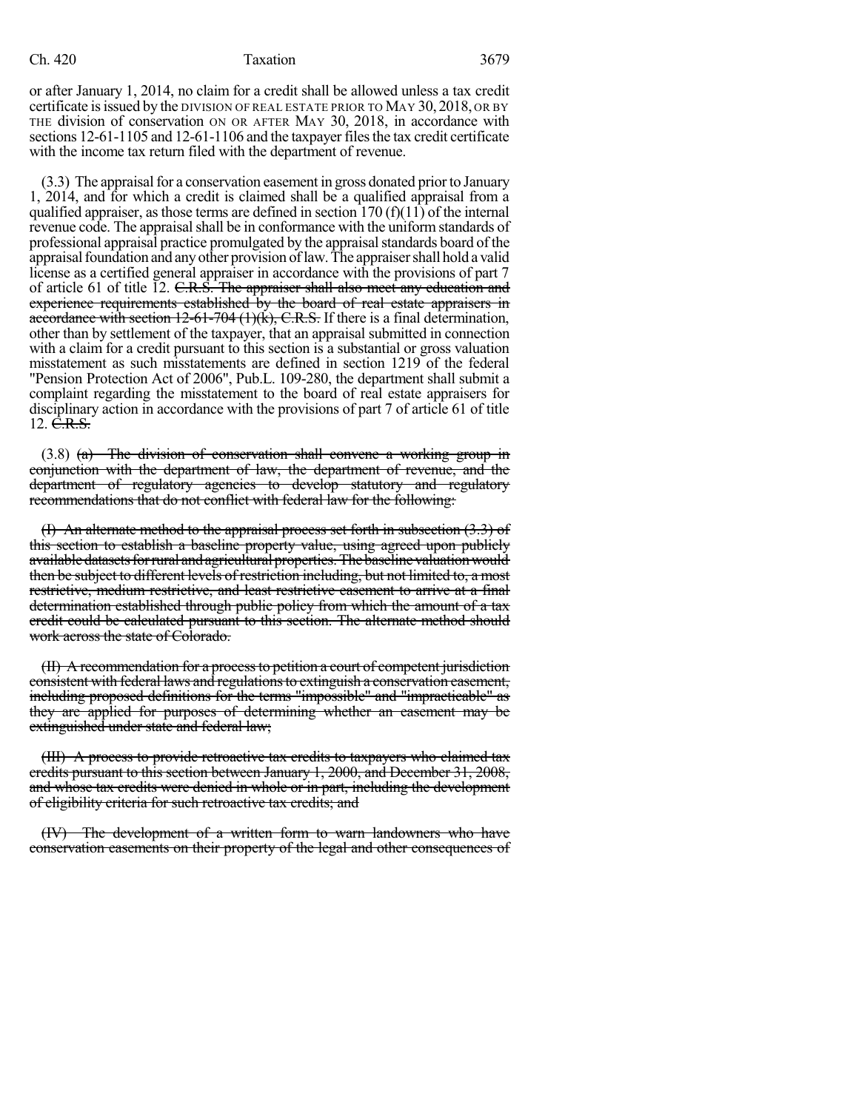#### Ch. 420 Taxation 3679

or after January 1, 2014, no claim for a credit shall be allowed unless a tax credit certificate isissued by the DIVISION OF REAL ESTATE PRIOR TO MAY 30, 2018, OR BY THE division of conservation ON OR AFTER MAY 30, 2018, in accordance with sections 12-61-1105 and 12-61-1106 and the taxpayer files the tax credit certificate with the income tax return filed with the department of revenue.

 $(3.3)$  The appraisal for a conservation easement in gross donated prior to January 1, 2014, and for which a credit is claimed shall be a qualified appraisal from a qualified appraiser, as those terms are defined in section  $170 \text{ (f)}(11)$  of the internal revenue code. The appraisal shall be in conformance with the uniform standards of professional appraisal practice promulgated by the appraisalstandards board of the appraisalfoundation and anyother provision oflaw.The appraisershall hold a valid license as a certified general appraiser in accordance with the provisions of part 7 of article 61 of title 12. C.R.S. The appraiser shall also meet any education and experience requirements established by the board of real estate appraisers in accordance with section  $12-61-704$  (1)(k), C.R.S. If there is a final determination, other than by settlement of the taxpayer, that an appraisal submitted in connection with a claim for a credit pursuant to this section is a substantial or gross valuation misstatement as such misstatements are defined in section 1219 of the federal "Pension Protection Act of 2006", Pub.L. 109-280, the department shall submit a complaint regarding the misstatement to the board of real estate appraisers for disciplinary action in accordance with the provisions of part 7 of article 61 of title 12.  $\dot{C}$ .R.S.

 $(3.8)$  (a) The division of conservation shall convene a working group in conjunction with the department of law, the department of revenue, and the department of regulatory agencies to develop statutory and regulatory recommendations that do not conflict with federal law for the following:

(I) An alternate method to the appraisal process set forth in subsection (3.3) of this section to establish a baseline property value, using agreed upon publicly available datasets for rural and agricultural properties. The baseline valuation would then be subject to different levels of restriction including, but not limited to, a most restrictive, medium restrictive, and least restrictive easement to arrive at a final determination established through public policy from which the amount of a tax credit could be calculated pursuant to this section. The alternate method should work across the state of Colorado.

(II) A recommendation for a processto petition a court of competent jurisdiction consistent with federal laws and regulations to extinguish a conservation easement, including proposed definitions for the terms "impossible" and "impracticable" as they are applied for purposes of determining whether an easement may be extinguished under state and federal law;

(III) A process to provide retroactive tax credits to taxpayers who claimed tax credits pursuant to this section between January 1, 2000, and December 31, 2008, and whose tax credits were denied in whole or in part, including the development of eligibility criteria for such retroactive tax credits; and

(IV) The development of a written form to warn landowners who have conservation easements on their property of the legal and other consequences of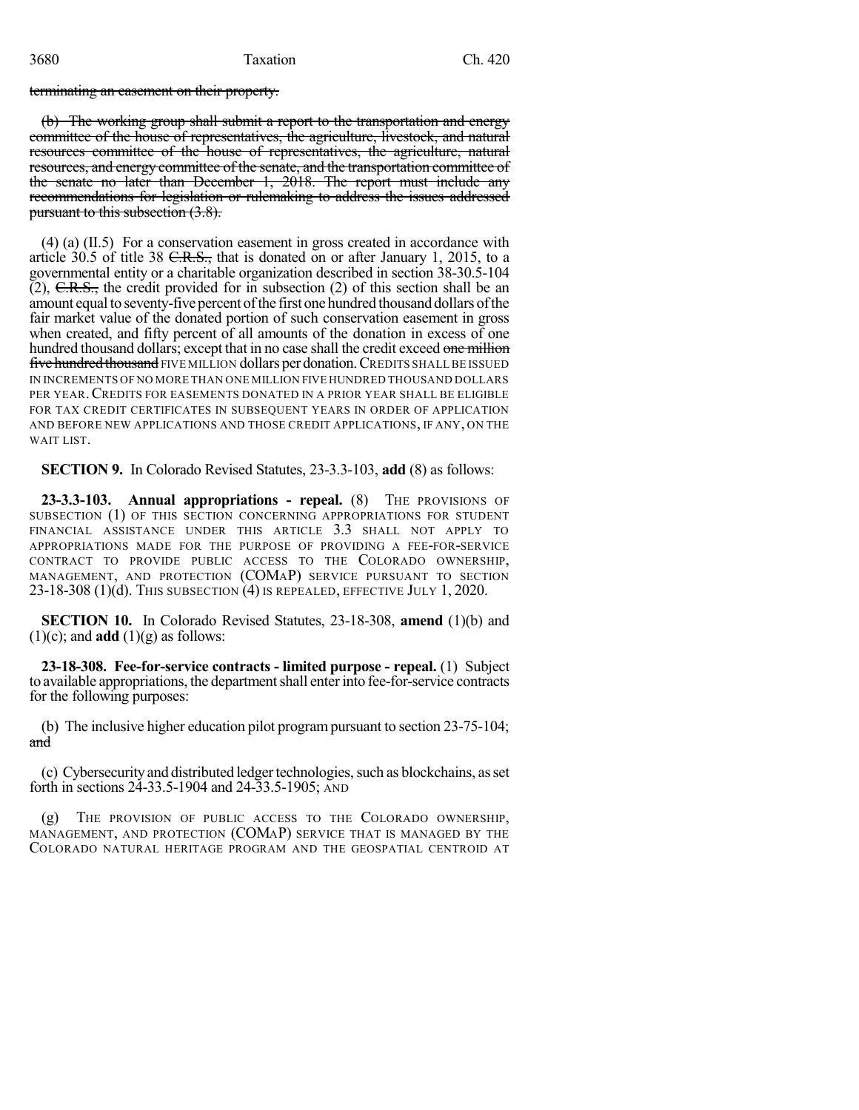terminating an easement on their property.

(b) The working group shall submit a report to the transportation and energy committee of the house of representatives, the agriculture, livestock, and natural resources committee of the house of representatives, the agriculture, natural resources, and energy committee of the senate, and the transportation committee of the senate no later than December 1, 2018. The report must include any recommendations for legislation or rulemaking to address the issues addressed pursuant to this subsection (3.8).

(4) (a) (II.5) For a conservation easement in gross created in accordance with article 30.5 of title 38  $C.R.S.,$  that is donated on or after January 1, 2015, to a governmental entity or a charitable organization described in section 38-30.5-104  $(2)$ , C.R.S., the credit provided for in subsection  $(2)$  of this section shall be an amount equal to seventy-five percent of the first one hundred thousand dollars of the fair market value of the donated portion of such conservation easement in gross when created, and fifty percent of all amounts of the donation in excess of one hundred thousand dollars; except that in no case shall the credit exceed one million five hundred thousand FIVE MILLION dollars per donation. CREDITS SHALL BE ISSUED IN INCREMENTS OF NO MORE THAN ONE MILLION FIVE HUNDRED THOUSAND DOLLARS PER YEAR.CREDITS FOR EASEMENTS DONATED IN A PRIOR YEAR SHALL BE ELIGIBLE FOR TAX CREDIT CERTIFICATES IN SUBSEQUENT YEARS IN ORDER OF APPLICATION AND BEFORE NEW APPLICATIONS AND THOSE CREDIT APPLICATIONS, IF ANY, ON THE WAIT LIST.

**SECTION 9.** In Colorado Revised Statutes, 23-3.3-103, **add** (8) as follows:

**23-3.3-103. Annual appropriations - repeal.** (8) THE PROVISIONS OF SUBSECTION (1) OF THIS SECTION CONCERNING APPROPRIATIONS FOR STUDENT FINANCIAL ASSISTANCE UNDER THIS ARTICLE 3.3 SHALL NOT APPLY TO APPROPRIATIONS MADE FOR THE PURPOSE OF PROVIDING A FEE-FOR-SERVICE CONTRACT TO PROVIDE PUBLIC ACCESS TO THE COLORADO OWNERSHIP, MANAGEMENT, AND PROTECTION (COMAP) SERVICE PURSUANT TO SECTION  $23-18-308$  (1)(d). This subsection (4) is repealed, effective July 1, 2020.

**SECTION 10.** In Colorado Revised Statutes, 23-18-308, **amend** (1)(b) and  $(1)(c)$ ; and **add**  $(1)(g)$  as follows:

**23-18-308. Fee-for-service contracts - limited purpose - repeal.** (1) Subject to available appropriations, the department shall enter into fee-for-service contracts for the following purposes:

(b) The inclusive higher education pilot programpursuant to section 23-75-104; and

(c) Cybersecurityand distributed ledgertechnologies,such as blockchains, asset forth in sections 24-33.5-1904 and 24-33.5-1905; AND

THE PROVISION OF PUBLIC ACCESS TO THE COLORADO OWNERSHIP, MANAGEMENT, AND PROTECTION (COMAP) SERVICE THAT IS MANAGED BY THE COLORADO NATURAL HERITAGE PROGRAM AND THE GEOSPATIAL CENTROID AT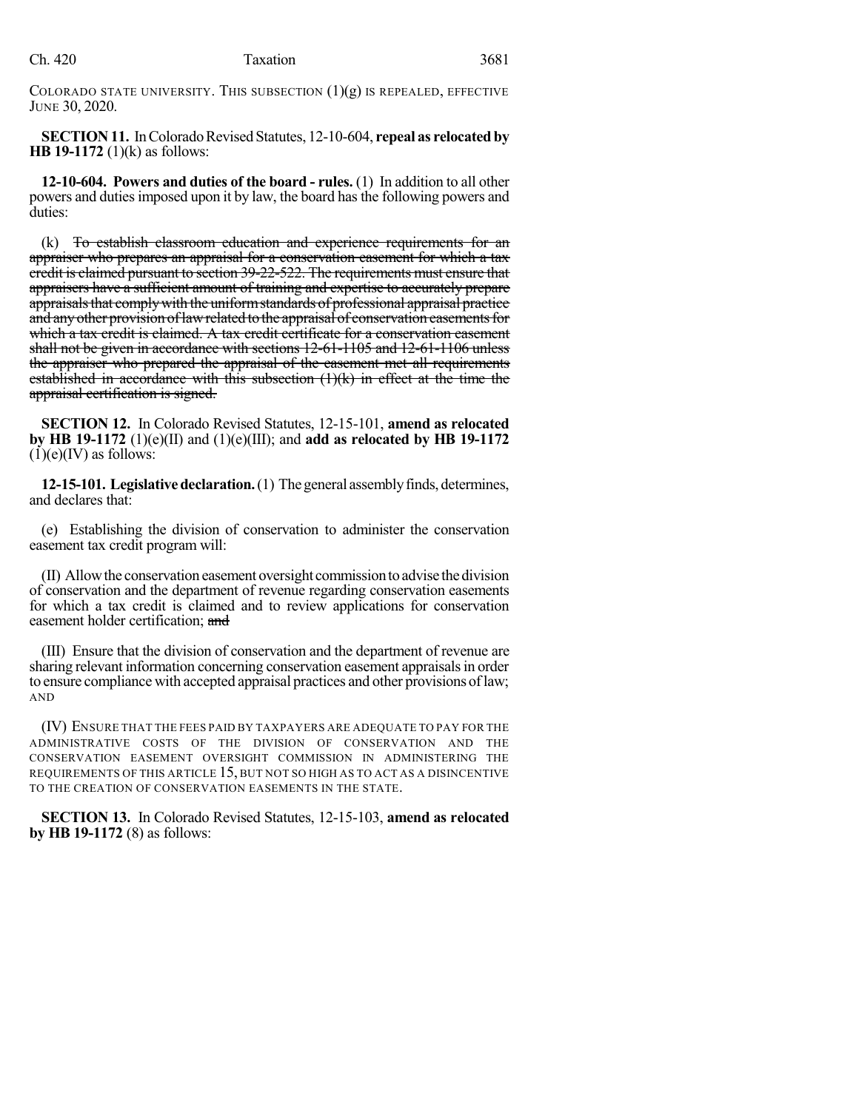COLORADO STATE UNIVERSITY. THIS SUBSECTION  $(1)(g)$  is repealed, effective JUNE 30, 2020.

**SECTION 11.** In Colorado Revised Statutes, 12-10-604, repeal as relocated by **HB 19-1172** (1)(k) as follows:

**12-10-604. Powers and duties of the board - rules.** (1) In addition to all other powers and dutiesimposed upon it by law, the board hasthe following powers and duties:

(k) To establish classroom education and experience requirements for an appraiser who prepares an appraisal for a conservation easement for which a tax eredit is claimed pursuant to section 39-22-522. The requirements must ensure that appraisers have a sufficient amount of training and expertise to accurately prepare appraisals that comply with the uniform standards of professional appraisal practice and any other provision of law related to the appraisal of conservation easements for which a tax credit is claimed. A tax credit certificate for a conservation easement shall not be given in accordance with sections 12-61-1105 and 12-61-1106 unless the appraiser who prepared the appraisal of the easement met all requirements established in accordance with this subsection (1)(k) in effect at the time the appraisal certification is signed.

**SECTION 12.** In Colorado Revised Statutes, 12-15-101, **amend as relocated by HB 19-1172** (1)(e)(II) and (1)(e)(III); and **add as relocated by HB 19-1172**  $(1)(e)(IV)$  as follows:

**12-15-101. Legislative declaration.** (1) The general assembly finds, determines, and declares that:

(e) Establishing the division of conservation to administer the conservation easement tax credit program will:

(II) Allowthe conservation easement oversight commissiontoadvise thedivision of conservation and the department of revenue regarding conservation easements for which a tax credit is claimed and to review applications for conservation easement holder certification; and

(III) Ensure that the division of conservation and the department of revenue are sharing relevant information concerning conservation easement appraisalsin order to ensure compliance with accepted appraisal practices and other provisions oflaw; AND

(IV) ENSURE THAT THE FEES PAID BY TAXPAYERS ARE ADEQUATE TO PAY FOR THE ADMINISTRATIVE COSTS OF THE DIVISION OF CONSERVATION AND THE CONSERVATION EASEMENT OVERSIGHT COMMISSION IN ADMINISTERING THE REQUIREMENTS OF THIS ARTICLE 15, BUT NOT SO HIGH AS TO ACT AS A DISINCENTIVE TO THE CREATION OF CONSERVATION EASEMENTS IN THE STATE.

**SECTION 13.** In Colorado Revised Statutes, 12-15-103, **amend as relocated by HB 19-1172** (8) as follows: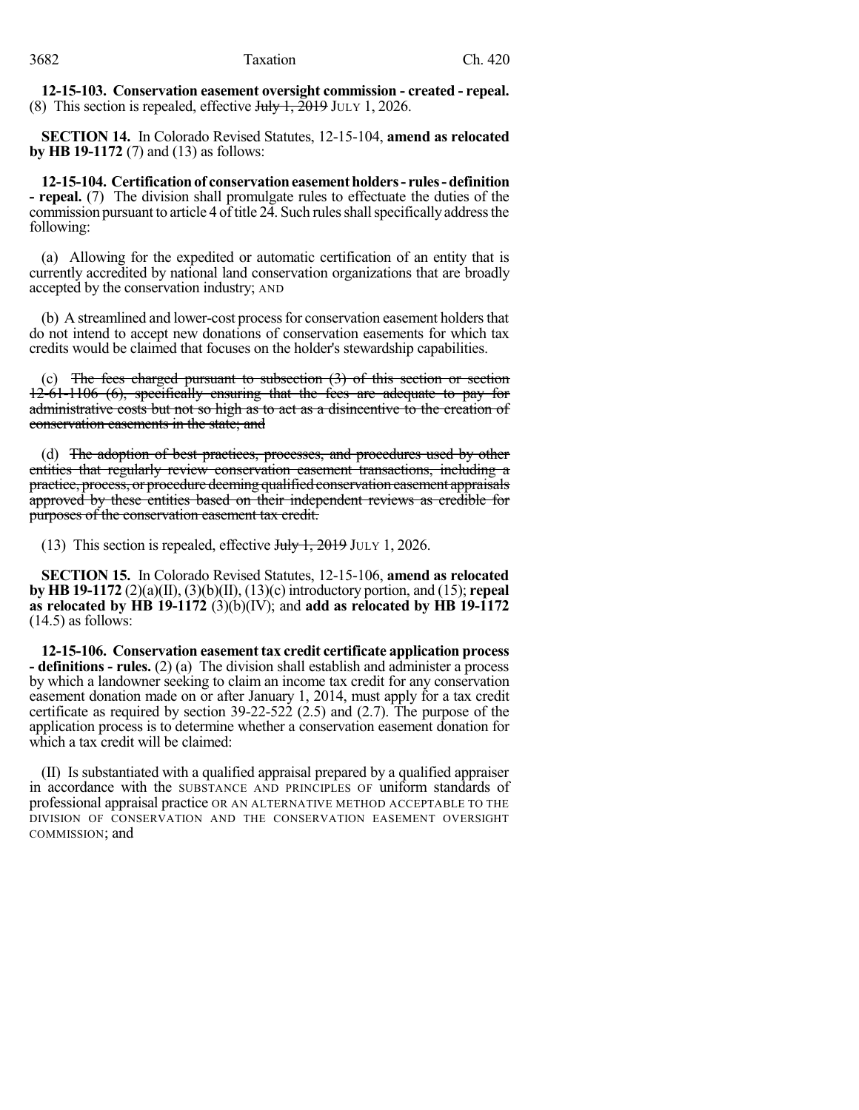**12-15-103. Conservation easement oversight commission - created - repeal.** (8) This section is repealed, effective  $J_{\text{t}}/J_{\text{t}}$ ,  $\frac{2019 \text{ J}_{\text{ULY}}}{2026}$ .

**SECTION 14.** In Colorado Revised Statutes, 12-15-104, **amend as relocated by HB 19-1172** (7) and (13) as follows:

**12-15-104. Certificationof conservationeasementholders- rules-definition - repeal.** (7) The division shall promulgate rules to effectuate the duties of the commission pursuant to article 4 of title 24. Such rules shall specifically address the following:

(a) Allowing for the expedited or automatic certification of an entity that is currently accredited by national land conservation organizations that are broadly accepted by the conservation industry; AND

(b) A streamlined and lower-cost process for conservation easement holders that do not intend to accept new donations of conservation easements for which tax credits would be claimed that focuses on the holder's stewardship capabilities.

(c) The fees charged pursuant to subsection  $(3)$  of this section or section 12-61-1106 (6), specifically ensuring that the fees are adequate to pay for administrative costs but not so high as to act as a disincentive to the creation of conservation easements in the state; and

(d) The adoption of best practices, processes, and procedures used by other entities that regularly review conservation easement transactions, including a practice, process, or procedure deeming qualified conservation easement appraisals approved by these entities based on their independent reviews as credible for purposes of the conservation easement tax credit.

(13) This section is repealed, effective  $J_{\text{t}}/J_{\text{t}}$ , 2019 JULY 1, 2026.

**SECTION 15.** In Colorado Revised Statutes, 12-15-106, **amend as relocated by HB 19-1172** (2)(a)(II), (3)(b)(II), (13)(c) introductory portion, and (15); **repeal as relocated by HB 19-1172** (3)(b)(IV); and **add as relocated by HB 19-1172**  $(14.5)$  as follows:

**12-15-106. Conservation easement tax credit certificate application process - definitions - rules.** (2) (a) The division shall establish and administer a process by which a landowner seeking to claim an income tax credit for any conservation easement donation made on or after January 1, 2014, must apply for a tax credit certificate as required by section 39-22-522 (2.5) and (2.7). The purpose of the application process is to determine whether a conservation easement donation for which a tax credit will be claimed:

(II) Is substantiated with a qualified appraisal prepared by a qualified appraiser in accordance with the SUBSTANCE AND PRINCIPLES OF uniform standards of professional appraisal practice OR AN ALTERNATIVE METHOD ACCEPTABLE TO THE DIVISION OF CONSERVATION AND THE CONSERVATION EASEMENT OVERSIGHT COMMISSION; and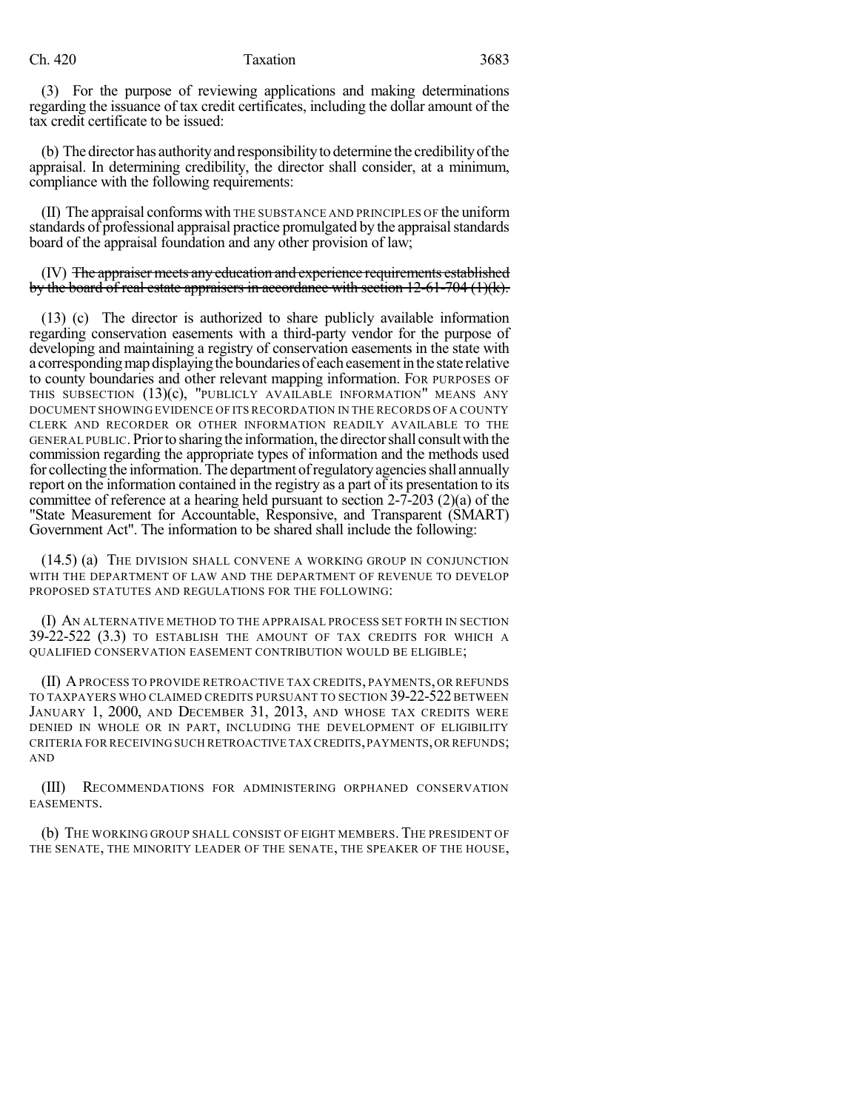(3) For the purpose of reviewing applications and making determinations regarding the issuance of tax credit certificates, including the dollar amount of the tax credit certificate to be issued:

(b) The director has authority and responsibility to determine the credibility of the appraisal. In determining credibility, the director shall consider, at a minimum, compliance with the following requirements:

(II) The appraisal conforms with THE SUBSTANCE AND PRINCIPLES OF the uniform standards of professional appraisal practice promulgated by the appraisal standards board of the appraisal foundation and any other provision of law;

(IV) The appraiser meets anyeducation and experience requirements established by the board of real estate appraisers in accordance with section  $12-61-704$  (1)(k).

(13) (c) The director is authorized to share publicly available information regarding conservation easements with a third-party vendor for the purpose of developing and maintaining a registry of conservation easements in the state with a corresponding map displaying the boundaries of each easement in the state relative to county boundaries and other relevant mapping information. FOR PURPOSES OF THIS SUBSECTION (13)(c), "PUBLICLY AVAILABLE INFORMATION" MEANS ANY DOCUMENT SHOWING EVIDENCE OF ITS RECORDATION IN THE RECORDS OF A COUNTY CLERK AND RECORDER OR OTHER INFORMATION READILY AVAILABLE TO THE GENERAL PUBLIC. Priorto sharing the information,thedirectorshall consultwith the commission regarding the appropriate types of information and the methods used for collecting the information. The department of regulatory agencies shall annually report on the information contained in the registry as a part of its presentation to its committee of reference at a hearing held pursuant to section 2-7-203 (2)(a) of the "State Measurement for Accountable, Responsive, and Transparent (SMART) Government Act". The information to be shared shall include the following:

(14.5) (a) THE DIVISION SHALL CONVENE A WORKING GROUP IN CONJUNCTION WITH THE DEPARTMENT OF LAW AND THE DEPARTMENT OF REVENUE TO DEVELOP PROPOSED STATUTES AND REGULATIONS FOR THE FOLLOWING:

(I) AN ALTERNATIVE METHOD TO THE APPRAISAL PROCESS SET FORTH IN SECTION 39-22-522 (3.3) TO ESTABLISH THE AMOUNT OF TAX CREDITS FOR WHICH A QUALIFIED CONSERVATION EASEMENT CONTRIBUTION WOULD BE ELIGIBLE;

(II) APROCESS TO PROVIDE RETROACTIVE TAX CREDITS, PAYMENTS, OR REFUNDS TO TAXPAYERS WHO CLAIMED CREDITS PURSUANT TO SECTION 39-22-522 BETWEEN JANUARY 1, 2000, AND DECEMBER 31, 2013, AND WHOSE TAX CREDITS WERE DENIED IN WHOLE OR IN PART, INCLUDING THE DEVELOPMENT OF ELIGIBILITY CRITERIA FOR RECEIVING SUCH RETROACTIVE TAX CREDITS, PAYMENTS, OR REFUNDS; AND

(III) RECOMMENDATIONS FOR ADMINISTERING ORPHANED CONSERVATION EASEMENTS.

(b) THE WORKING GROUP SHALL CONSIST OF EIGHT MEMBERS. THE PRESIDENT OF THE SENATE, THE MINORITY LEADER OF THE SENATE, THE SPEAKER OF THE HOUSE,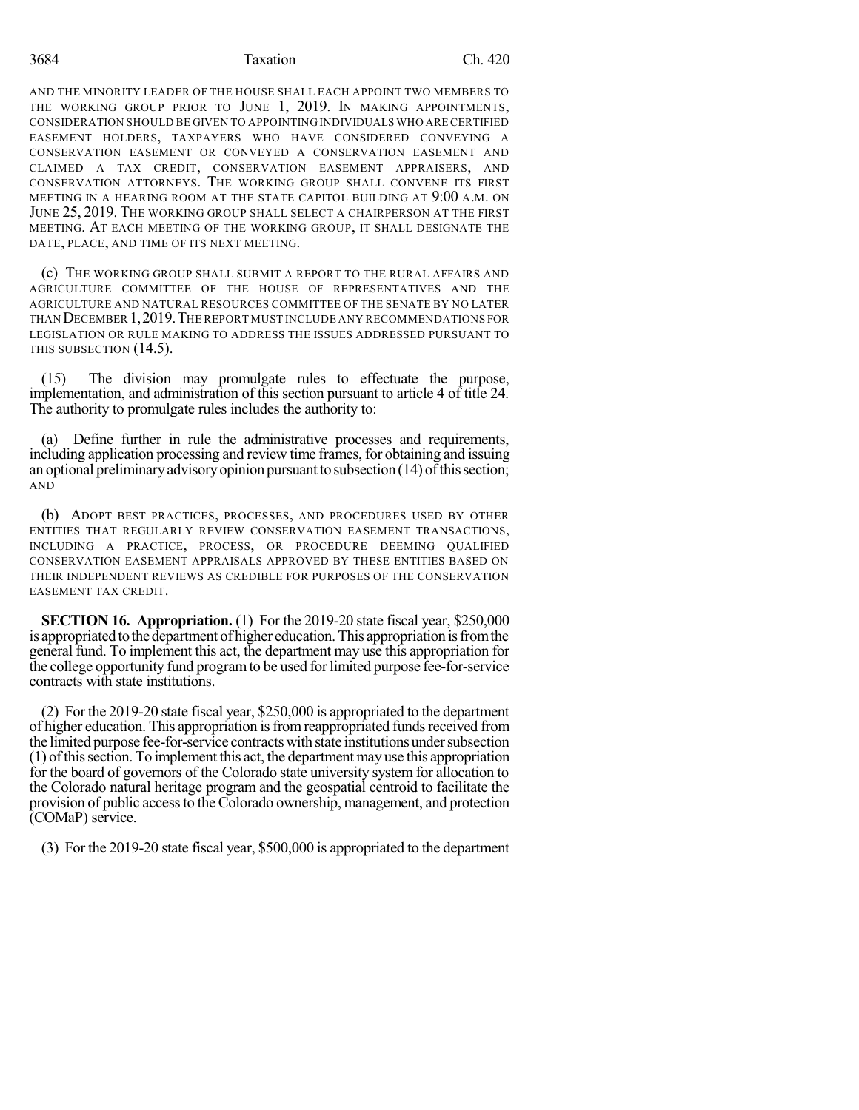3684 Taxation Ch. 420

AND THE MINORITY LEADER OF THE HOUSE SHALL EACH APPOINT TWO MEMBERS TO THE WORKING GROUP PRIOR TO JUNE 1, 2019. IN MAKING APPOINTMENTS, CONSIDERATION SHOULD BE GIVEN TO APPOINTING INDIVIDUALS WHO ARECERTIFIED EASEMENT HOLDERS, TAXPAYERS WHO HAVE CONSIDERED CONVEYING A CONSERVATION EASEMENT OR CONVEYED A CONSERVATION EASEMENT AND CLAIMED A TAX CREDIT, CONSERVATION EASEMENT APPRAISERS, AND CONSERVATION ATTORNEYS. THE WORKING GROUP SHALL CONVENE ITS FIRST MEETING IN A HEARING ROOM AT THE STATE CAPITOL BUILDING AT 9:00 A.M. ON JUNE 25, 2019. THE WORKING GROUP SHALL SELECT A CHAIRPERSON AT THE FIRST MEETING. AT EACH MEETING OF THE WORKING GROUP, IT SHALL DESIGNATE THE DATE, PLACE, AND TIME OF ITS NEXT MEETING.

(c) THE WORKING GROUP SHALL SUBMIT A REPORT TO THE RURAL AFFAIRS AND AGRICULTURE COMMITTEE OF THE HOUSE OF REPRESENTATIVES AND THE AGRICULTURE AND NATURAL RESOURCES COMMITTEE OF THE SENATE BY NO LATER THAN DECEMBER 1,2019.THE REPORT MUST INCLUDE ANY RECOMMENDATIONS FOR LEGISLATION OR RULE MAKING TO ADDRESS THE ISSUES ADDRESSED PURSUANT TO THIS SUBSECTION (14.5).

(15) The division may promulgate rules to effectuate the purpose, implementation, and administration of this section pursuant to article 4 of title 24. The authority to promulgate rules includes the authority to:

(a) Define further in rule the administrative processes and requirements, including application processing and review time frames, for obtaining and issuing an optional preliminary advisory opinion pursuant to subsection  $(14)$  of this section; AND

(b) ADOPT BEST PRACTICES, PROCESSES, AND PROCEDURES USED BY OTHER ENTITIES THAT REGULARLY REVIEW CONSERVATION EASEMENT TRANSACTIONS, INCLUDING A PRACTICE, PROCESS, OR PROCEDURE DEEMING QUALIFIED CONSERVATION EASEMENT APPRAISALS APPROVED BY THESE ENTITIES BASED ON THEIR INDEPENDENT REVIEWS AS CREDIBLE FOR PURPOSES OF THE CONSERVATION EASEMENT TAX CREDIT.

**SECTION 16. Appropriation.** (1) For the 2019-20 state fiscal year, \$250,000 is appropriated to the department of higher education. This appropriation is from the general fund. To implement this act, the department may use this appropriation for the college opportunity fund program to be used for limited purpose fee-for-service contracts with state institutions.

(2) For the 2019-20 state fiscal year, \$250,000 is appropriated to the department of higher education. This appropriation is from reappropriated funds received from the limited purpose fee-for-service contractswith state institutionsundersubsection (1) ofthissection. To implement this act, the department may use this appropriation for the board of governors of the Colorado state university system for allocation to the Colorado natural heritage program and the geospatial centroid to facilitate the provision of public accessto the Colorado ownership, management, and protection (COMaP) service.

(3) For the 2019-20 state fiscal year, \$500,000 is appropriated to the department